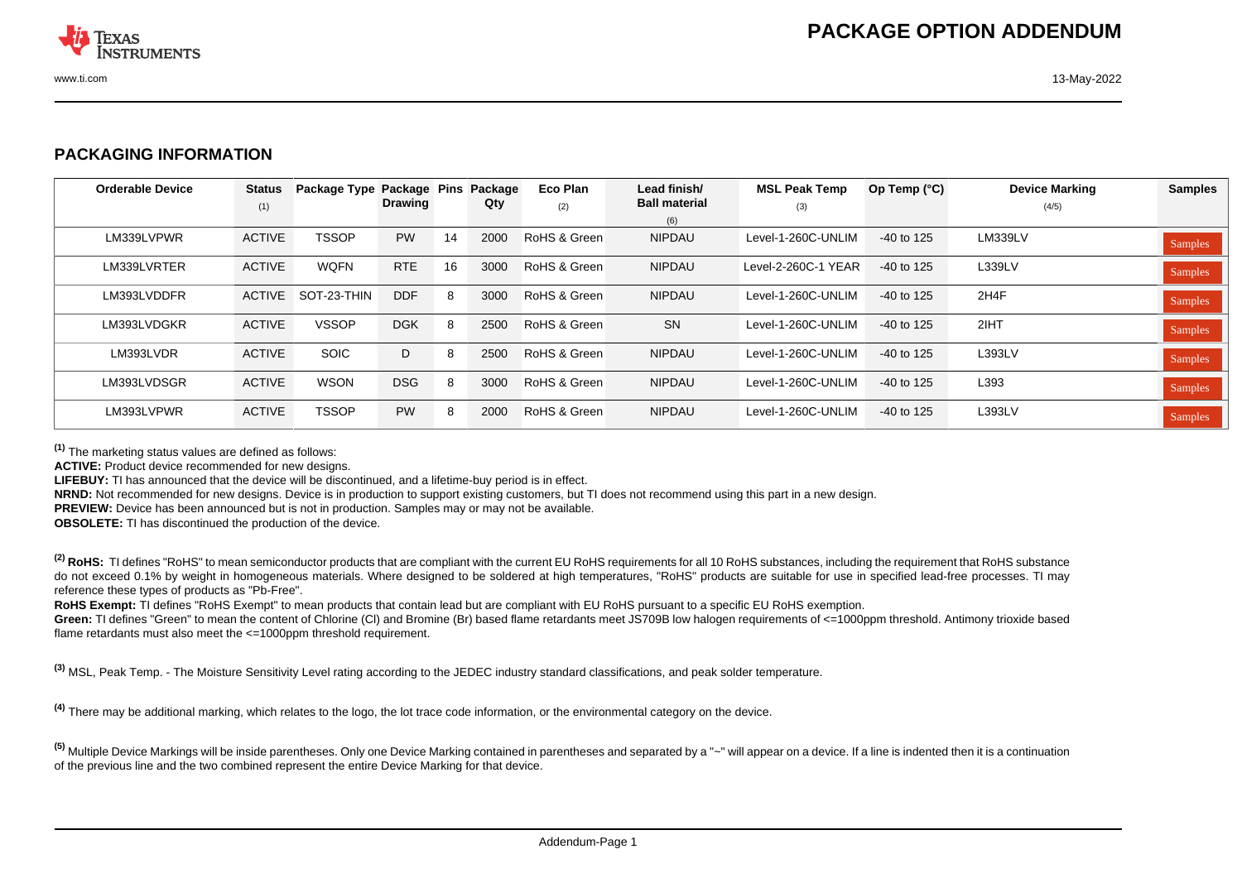

## **PACKAGING INFORMATION**

| <b>Orderable Device</b> | <b>Status</b><br>(1) | Package Type | Package Pins<br><b>Drawing</b> |    | Package<br>Qty | Eco Plan<br>(2) | Lead finish/<br><b>Ball material</b> | <b>MSL Peak Temp</b><br>(3) | Op Temp (°C) | <b>Device Marking</b><br>(4/5) | <b>Samples</b> |
|-------------------------|----------------------|--------------|--------------------------------|----|----------------|-----------------|--------------------------------------|-----------------------------|--------------|--------------------------------|----------------|
|                         |                      |              |                                |    |                |                 | (6)                                  |                             |              |                                |                |
| LM339LVPWR              | <b>ACTIVE</b>        | <b>TSSOP</b> | <b>PW</b>                      | 14 | 2000           | RoHS & Green    | <b>NIPDAU</b>                        | Level-1-260C-UNLIM          | $-40$ to 125 | <b>LM339LV</b>                 | Samples        |
| LM339LVRTER             | <b>ACTIVE</b>        | <b>WOFN</b>  | <b>RTE</b>                     | 16 | 3000           | RoHS & Green    | <b>NIPDAU</b>                        | Level-2-260C-1 YEAR         | $-40$ to 125 | L339LV                         | Samples        |
| LM393LVDDFR             | ACTIVE               | SOT-23-THIN  | <b>DDF</b>                     | 8  | 3000           | RoHS & Green    | <b>NIPDAU</b>                        | Level-1-260C-UNLIM          | $-40$ to 125 | 2H4F                           | Samples        |
| LM393LVDGKR             | <b>ACTIVE</b>        | <b>VSSOP</b> | <b>DGK</b>                     | 8  | 2500           | RoHS & Green    | <b>SN</b>                            | Level-1-260C-UNLIM          | $-40$ to 125 | 2IHT                           | Samples        |
| LM393LVDR               | <b>ACTIVE</b>        | <b>SOIC</b>  | D                              | 8  | 2500           | RoHS & Green    | <b>NIPDAU</b>                        | Level-1-260C-UNLIM          | $-40$ to 125 | L393LV                         | Samples        |
| LM393LVDSGR             | <b>ACTIVE</b>        | <b>WSON</b>  | <b>DSG</b>                     | 8  | 3000           | RoHS & Green    | <b>NIPDAU</b>                        | Level-1-260C-UNLIM          | $-40$ to 125 | L393                           | Samples        |
| LM393LVPWR              | <b>ACTIVE</b>        | <b>TSSOP</b> | <b>PW</b>                      | 8  | 2000           | RoHS & Green    | <b>NIPDAU</b>                        | Level-1-260C-UNLIM          | $-40$ to 125 | L393LV                         | Samples        |

**(1)** The marketing status values are defined as follows:

**ACTIVE:** Product device recommended for new designs.

**LIFEBUY:** TI has announced that the device will be discontinued, and a lifetime-buy period is in effect.

**NRND:** Not recommended for new designs. Device is in production to support existing customers, but TI does not recommend using this part in a new design.

**PREVIEW:** Device has been announced but is not in production. Samples may or may not be available.

**OBSOLETE:** TI has discontinued the production of the device.

<sup>(2)</sup> RoHS: TI defines "RoHS" to mean semiconductor products that are compliant with the current EU RoHS requirements for all 10 RoHS substances, including the requirement that RoHS substance do not exceed 0.1% by weight in homogeneous materials. Where designed to be soldered at high temperatures. "RoHS" products are suitable for use in specified lead-free processes. TI may reference these types of products as "Pb-Free".

**RoHS Exempt:** TI defines "RoHS Exempt" to mean products that contain lead but are compliant with EU RoHS pursuant to a specific EU RoHS exemption.

Green: TI defines "Green" to mean the content of Chlorine (CI) and Bromine (Br) based flame retardants meet JS709B low halogen requirements of <=1000ppm threshold. Antimony trioxide based flame retardants must also meet the <=1000ppm threshold requirement.

**(3)** MSL, Peak Temp. - The Moisture Sensitivity Level rating according to the JEDEC industry standard classifications, and peak solder temperature.

**(4)** There may be additional marking, which relates to the logo, the lot trace code information, or the environmental category on the device.

<sup>(5)</sup> Multiple Device Markings will be inside parentheses. Only one Device Marking contained in parentheses and separated by a "~" will appear on a device. If a line is indented then it is a continuation of the previous line and the two combined represent the entire Device Marking for that device.